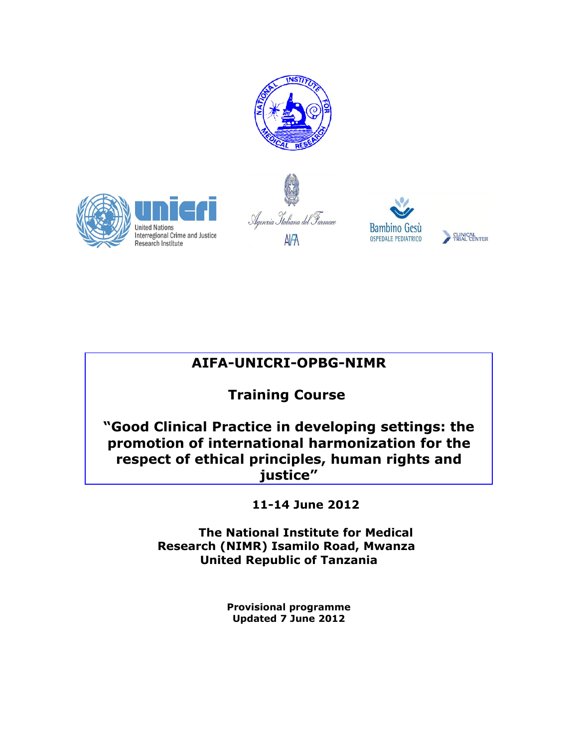







## **AIFA-UNICRI-OPBG-NIMR**

## **Training Course**

**"Good Clinical Practice in developing settings: the promotion of international harmonization for the respect of ethical principles, human rights and justice"**

**11-14 June 2012**

**The National Institute for Medical Research (NIMR) Isamilo Road, Mwanza United Republic of Tanzania**

> **Provisional programme Updated 7 June 2012**